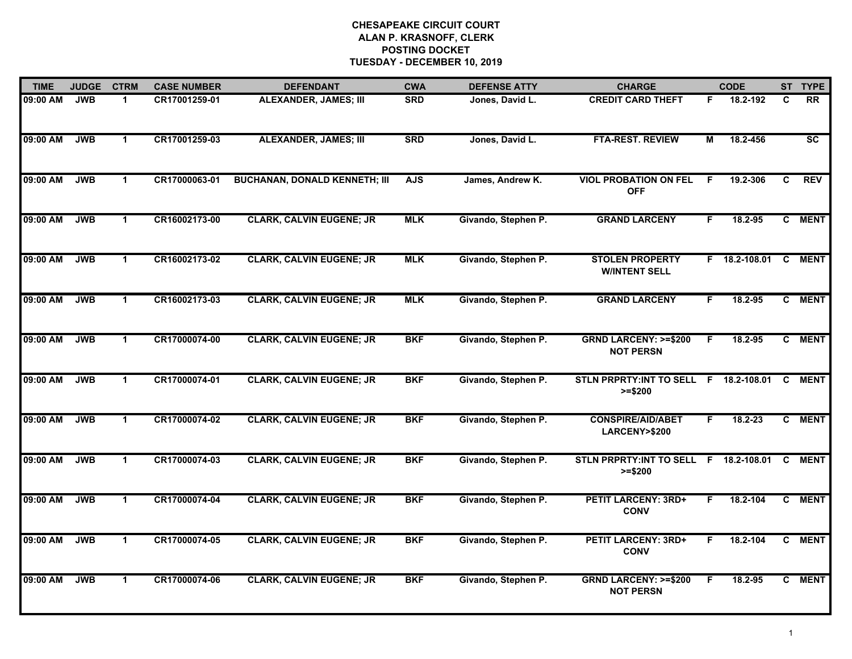| <b>TIME</b> | <b>JUDGE</b> | <b>CTRM</b>          | <b>CASE NUMBER</b> | <b>DEFENDANT</b>                     | <b>CWA</b> | <b>DEFENSE ATTY</b> | <b>CHARGE</b>                                       |    | <b>CODE</b>   |    | ST TYPE         |
|-------------|--------------|----------------------|--------------------|--------------------------------------|------------|---------------------|-----------------------------------------------------|----|---------------|----|-----------------|
| 09:00 AM    | <b>JWB</b>   | -1                   | CR17001259-01      | <b>ALEXANDER, JAMES; III</b>         | <b>SRD</b> | Jones, David L.     | <b>CREDIT CARD THEFT</b>                            | F. | 18.2-192      | C  | <b>RR</b>       |
| 09:00 AM    | <b>JWB</b>   | $\mathbf{1}$         | CR17001259-03      | <b>ALEXANDER, JAMES; III</b>         | <b>SRD</b> | Jones, David L.     | <b>FTA-REST. REVIEW</b>                             | M  | 18.2-456      |    | $\overline{sc}$ |
| 09:00 AM    | <b>JWB</b>   | $\mathbf{1}$         | CR17000063-01      | <b>BUCHANAN, DONALD KENNETH; III</b> | <b>AJS</b> | James, Andrew K.    | <b>VIOL PROBATION ON FEL</b><br><b>OFF</b>          | F  | 19.2-306      | C  | <b>REV</b>      |
| 09:00 AM    | <b>JWB</b>   | 1                    | CR16002173-00      | <b>CLARK, CALVIN EUGENE; JR</b>      | <b>MLK</b> | Givando, Stephen P. | <b>GRAND LARCENY</b>                                | F. | 18.2-95       | C. | <b>MENT</b>     |
| 09:00 AM    | <b>JWB</b>   | $\blacktriangleleft$ | CR16002173-02      | <b>CLARK, CALVIN EUGENE; JR</b>      | <b>MLK</b> | Givando, Stephen P. | <b>STOLEN PROPERTY</b><br><b>W/INTENT SELL</b>      |    | F 18.2-108.01 | C  | <b>MENT</b>     |
| 09:00 AM    | <b>JWB</b>   | $\blacktriangleleft$ | CR16002173-03      | <b>CLARK, CALVIN EUGENE; JR</b>      | <b>MLK</b> | Givando, Stephen P. | <b>GRAND LARCENY</b>                                | F. | 18.2-95       |    | C MENT          |
| 09:00 AM    | <b>JWB</b>   | $\mathbf{1}$         | CR17000074-00      | <b>CLARK, CALVIN EUGENE; JR</b>      | <b>BKF</b> | Givando, Stephen P. | <b>GRND LARCENY: &gt;=\$200</b><br><b>NOT PERSN</b> | F. | 18.2-95       | C  | <b>MENT</b>     |
| 09:00 AM    | <b>JWB</b>   | $\blacktriangleleft$ | CR17000074-01      | <b>CLARK, CALVIN EUGENE; JR</b>      | <b>BKF</b> | Givando, Stephen P. | STLN PRPRTY: INT TO SELL F 18.2-108.01<br>$>= $200$ |    |               | C  | <b>MENT</b>     |
| 09:00 AM    | <b>JWB</b>   | $\blacktriangleleft$ | CR17000074-02      | <b>CLARK, CALVIN EUGENE; JR</b>      | <b>BKF</b> | Givando, Stephen P. | <b>CONSPIRE/AID/ABET</b><br>LARCENY>\$200           | F. | $18.2 - 23$   |    | C MENT          |
| 09:00 AM    | <b>JWB</b>   | $\blacktriangleleft$ | CR17000074-03      | <b>CLARK, CALVIN EUGENE; JR</b>      | <b>BKF</b> | Givando, Stephen P. | STLN PRPRTY:INT TO SELL F 18.2-108.01<br>$>= $200$  |    |               | C  | <b>MENT</b>     |
| 09:00 AM    | <b>JWB</b>   | $\blacktriangleleft$ | CR17000074-04      | <b>CLARK, CALVIN EUGENE; JR</b>      | <b>BKF</b> | Givando, Stephen P. | <b>PETIT LARCENY: 3RD+</b><br><b>CONV</b>           | F. | 18.2-104      |    | C MENT          |
| 09:00 AM    | <b>JWB</b>   | $\mathbf{1}$         | CR17000074-05      | <b>CLARK, CALVIN EUGENE; JR</b>      | <b>BKF</b> | Givando, Stephen P. | <b>PETIT LARCENY: 3RD+</b><br><b>CONV</b>           | F. | 18.2-104      | C  | <b>MENT</b>     |
| 09:00 AM    | <b>JWB</b>   | $\mathbf{1}$         | CR17000074-06      | <b>CLARK, CALVIN EUGENE; JR</b>      | <b>BKF</b> | Givando, Stephen P. | <b>GRND LARCENY: &gt;=\$200</b><br><b>NOT PERSN</b> | F  | 18.2-95       |    | C MENT          |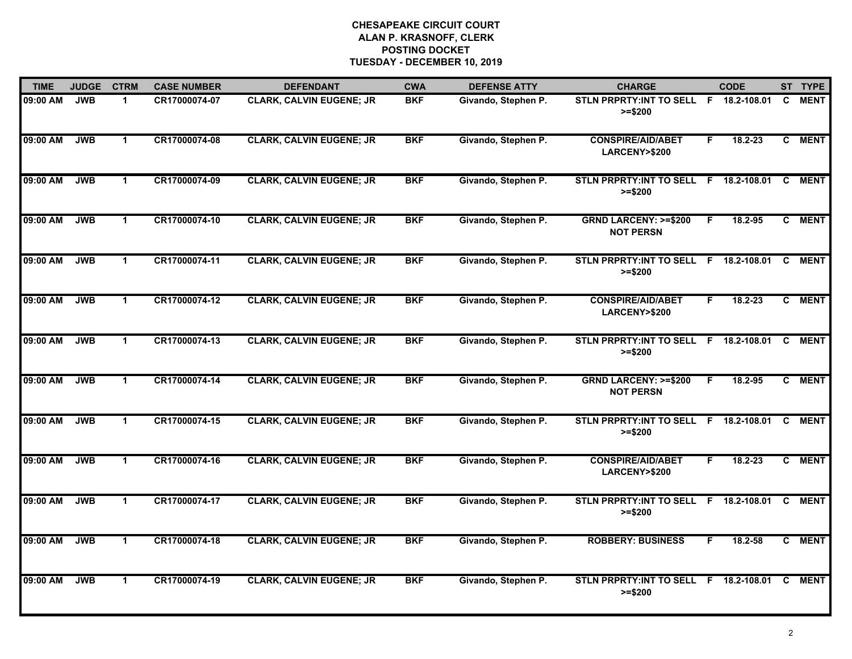| <b>TIME</b> | <b>JUDGE</b> | <b>CTRM</b>          | <b>CASE NUMBER</b> | <b>DEFENDANT</b>                | <b>CWA</b> | <b>DEFENSE ATTY</b> | <b>CHARGE</b>                                       |    | <b>CODE</b>     |          | ST TYPE     |
|-------------|--------------|----------------------|--------------------|---------------------------------|------------|---------------------|-----------------------------------------------------|----|-----------------|----------|-------------|
| 09:00 AM    | <b>JWB</b>   | 1                    | CR17000074-07      | <b>CLARK, CALVIN EUGENE; JR</b> | <b>BKF</b> | Givando, Stephen P. | STLN PRPRTY: INT TO SELL F 18.2-108.01<br>$>= $200$ |    |                 | C.       | <b>MENT</b> |
| 09:00 AM    | <b>JWB</b>   | $\mathbf 1$          | CR17000074-08      | <b>CLARK, CALVIN EUGENE; JR</b> | <b>BKF</b> | Givando, Stephen P. | <b>CONSPIRE/AID/ABET</b><br>LARCENY>\$200           | F  | 18.2-23         | C.       | <b>MENT</b> |
| 09:00 AM    | <b>JWB</b>   | $\mathbf 1$          | CR17000074-09      | <b>CLARK, CALVIN EUGENE; JR</b> | <b>BKF</b> | Givando, Stephen P. | STLN PRPRTY: INT TO SELL F<br>$>= $200$             |    | 18.2-108.01     | C.       | <b>MENT</b> |
| 09:00 AM    | <b>JWB</b>   | 1                    | CR17000074-10      | <b>CLARK, CALVIN EUGENE; JR</b> | <b>BKF</b> | Givando, Stephen P. | <b>GRND LARCENY: &gt;=\$200</b><br><b>NOT PERSN</b> | F  | 18.2-95         | C.       | <b>MENT</b> |
| 09:00 AM    | <b>JWB</b>   | $\mathbf 1$          | CR17000074-11      | <b>CLARK, CALVIN EUGENE; JR</b> | <b>BKF</b> | Givando, Stephen P. | STLN PRPRTY: INT TO SELL F 18.2-108.01<br>$>= $200$ |    |                 | C.       | <b>MENT</b> |
| 09:00 AM    | <b>JWB</b>   | $\mathbf{1}$         | CR17000074-12      | <b>CLARK, CALVIN EUGENE; JR</b> | <b>BKF</b> | Givando, Stephen P. | <b>CONSPIRE/AID/ABET</b><br>LARCENY>\$200           | F. | 18.2-23         |          | C MENT      |
| 09:00 AM    | <b>JWB</b>   | $\blacktriangleleft$ | CR17000074-13      | <b>CLARK, CALVIN EUGENE; JR</b> | <b>BKF</b> | Givando, Stephen P. | <b>STLN PRPRTY:INT TO SELL</b><br>$>= $200$         |    | F 18.2-108.01 C |          | <b>MENT</b> |
| 09:00 AM    | <b>JWB</b>   | $\mathbf 1$          | CR17000074-14      | <b>CLARK, CALVIN EUGENE; JR</b> | <b>BKF</b> | Givando, Stephen P. | <b>GRND LARCENY: &gt;=\$200</b><br><b>NOT PERSN</b> | F  | 18.2-95         |          | C MENT      |
| 09:00 AM    | <b>JWB</b>   | $\mathbf{1}$         | CR17000074-15      | <b>CLARK, CALVIN EUGENE; JR</b> | <b>BKF</b> | Givando, Stephen P. | STLN PRPRTY: INT TO SELL F<br>$>= $200$             |    | 18.2-108.01     | C        | <b>MENT</b> |
| 09:00 AM    | <b>JWB</b>   | 1                    | CR17000074-16      | <b>CLARK, CALVIN EUGENE; JR</b> | <b>BKF</b> | Givando, Stephen P. | <b>CONSPIRE/AID/ABET</b><br>LARCENY>\$200           | F  | $18.2 - 23$     |          | C MENT      |
| 09:00 AM    | <b>JWB</b>   | $\mathbf 1$          | CR17000074-17      | <b>CLARK, CALVIN EUGENE; JR</b> | <b>BKF</b> | Givando, Stephen P. | STLN PRPRTY: INT TO SELL F 18.2-108.01<br>$>= $200$ |    |                 | <b>C</b> | <b>MENT</b> |
| 09:00 AM    | <b>JWB</b>   | $\mathbf{1}$         | CR17000074-18      | <b>CLARK, CALVIN EUGENE; JR</b> | <b>BKF</b> | Givando, Stephen P. | <b>ROBBERY: BUSINESS</b>                            | F. | 18.2-58         | C.       | <b>MENT</b> |
| 09:00 AM    | <b>JWB</b>   | $\mathbf{1}$         | CR17000074-19      | <b>CLARK, CALVIN EUGENE; JR</b> | <b>BKF</b> | Givando, Stephen P. | STLN PRPRTY: INT TO SELL F 18.2-108.01<br>$>= $200$ |    |                 | C        | <b>MENT</b> |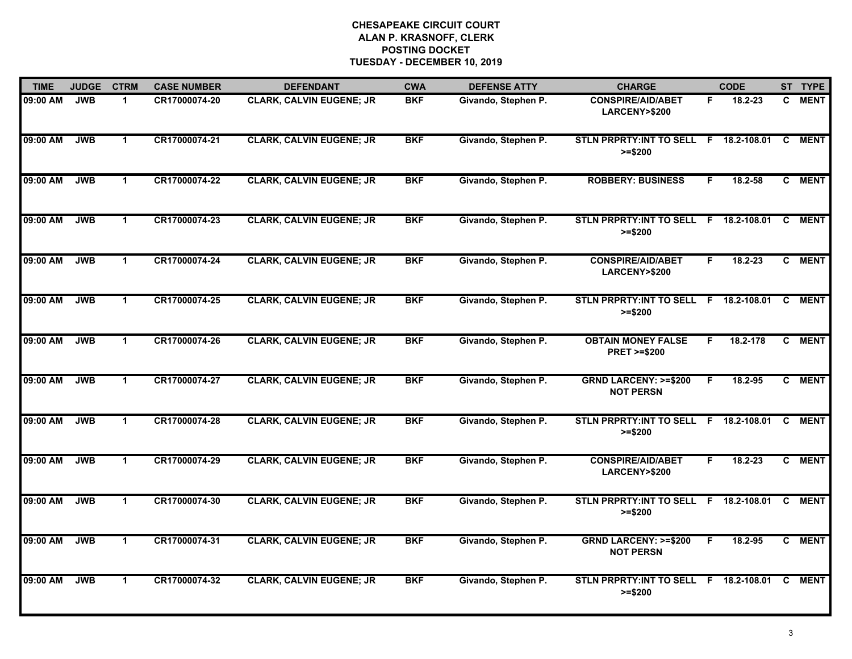| <b>TIME</b> | <b>JUDGE</b> | <b>CTRM</b>          | <b>CASE NUMBER</b> | <b>DEFENDANT</b>                | <b>CWA</b> | <b>DEFENSE ATTY</b> | <b>CHARGE</b>                                         |    | <b>CODE</b>   |    | ST TYPE     |
|-------------|--------------|----------------------|--------------------|---------------------------------|------------|---------------------|-------------------------------------------------------|----|---------------|----|-------------|
| 09:00 AM    | <b>JWB</b>   | 1                    | CR17000074-20      | <b>CLARK, CALVIN EUGENE; JR</b> | <b>BKF</b> | Givando, Stephen P. | <b>CONSPIRE/AID/ABET</b><br>LARCENY>\$200             | F. | 18.2-23       | C. | <b>MENT</b> |
| 09:00 AM    | <b>JWB</b>   | $\mathbf 1$          | CR17000074-21      | <b>CLARK, CALVIN EUGENE; JR</b> | <b>BKF</b> | Givando, Stephen P. | STLN PRPRTY: INT TO SELL F<br>$>= $200$               |    | 18.2-108.01   | C  | <b>MENT</b> |
| 09:00 AM    | <b>JWB</b>   | $\mathbf 1$          | CR17000074-22      | <b>CLARK, CALVIN EUGENE; JR</b> | <b>BKF</b> | Givando, Stephen P. | <b>ROBBERY: BUSINESS</b>                              | F. | 18.2-58       |    | C MENT      |
| 09:00 AM    | <b>JWB</b>   | $\mathbf 1$          | CR17000074-23      | <b>CLARK, CALVIN EUGENE; JR</b> | <b>BKF</b> | Givando, Stephen P. | <b>STLN PRPRTY:INT TO SELL</b><br>$>= $200$           |    | F 18.2-108.01 | C  | <b>MENT</b> |
| 09:00 AM    | <b>JWB</b>   | $\mathbf 1$          | CR17000074-24      | <b>CLARK, CALVIN EUGENE; JR</b> | <b>BKF</b> | Givando, Stephen P. | <b>CONSPIRE/AID/ABET</b><br>LARCENY>\$200             | F. | 18.2-23       |    | C MENT      |
| 09:00 AM    | <b>JWB</b>   | $\mathbf{1}$         | CR17000074-25      | <b>CLARK, CALVIN EUGENE; JR</b> | <b>BKF</b> | Givando, Stephen P. | STLN PRPRTY: INT TO SELL F 18.2-108.01 C<br>$>= $200$ |    |               |    | <b>MENT</b> |
| 09:00 AM    | <b>JWB</b>   | $\blacktriangleleft$ | CR17000074-26      | <b>CLARK, CALVIN EUGENE; JR</b> | <b>BKF</b> | Givando, Stephen P. | <b>OBTAIN MONEY FALSE</b><br><b>PRET &gt;=\$200</b>   | F  | 18.2-178      | C. | <b>MENT</b> |
| 09:00 AM    | <b>JWB</b>   | $\mathbf{1}$         | CR17000074-27      | <b>CLARK, CALVIN EUGENE; JR</b> | <b>BKF</b> | Givando, Stephen P. | <b>GRND LARCENY: &gt;=\$200</b><br><b>NOT PERSN</b>   | F. | 18.2-95       |    | C MENT      |
| 09:00 AM    | <b>JWB</b>   | 1                    | CR17000074-28      | <b>CLARK, CALVIN EUGENE; JR</b> | <b>BKF</b> | Givando, Stephen P. | <b>STLN PRPRTY:INT TO SELL</b><br>$>= $200$           |    | F 18.2-108.01 | C  | <b>MENT</b> |
| 09:00 AM    | <b>JWB</b>   | $\mathbf{1}$         | CR17000074-29      | <b>CLARK, CALVIN EUGENE; JR</b> | <b>BKF</b> | Givando, Stephen P. | <b>CONSPIRE/AID/ABET</b><br>LARCENY>\$200             | F. | 18.2-23       | C. | <b>MENT</b> |
| 09:00 AM    | <b>JWB</b>   | $\mathbf{1}$         | CR17000074-30      | <b>CLARK, CALVIN EUGENE; JR</b> | <b>BKF</b> | Givando, Stephen P. | STLN PRPRTY: INT TO SELL F 18.2-108.01<br>$>= $200$   |    |               | C  | <b>MENT</b> |
| 09:00 AM    | <b>JWB</b>   | $\mathbf{1}$         | CR17000074-31      | <b>CLARK, CALVIN EUGENE; JR</b> | <b>BKF</b> | Givando, Stephen P. | <b>GRND LARCENY: &gt;=\$200</b><br><b>NOT PERSN</b>   | F  | 18.2-95       | C  | <b>MENT</b> |
| 09:00 AM    | <b>JWB</b>   | $\mathbf{1}$         | CR17000074-32      | <b>CLARK, CALVIN EUGENE; JR</b> | <b>BKF</b> | Givando, Stephen P. | STLN PRPRTY: INT TO SELL F<br>$>= $200$               |    | 18.2-108.01   | C  | <b>MENT</b> |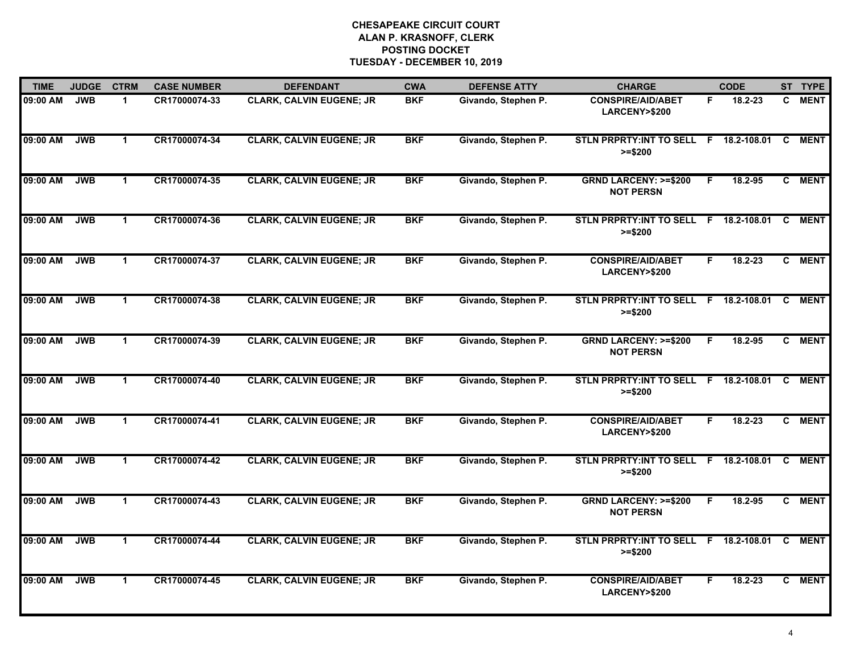| <b>TIME</b> | <b>JUDGE</b> | <b>CTRM</b>          | <b>CASE NUMBER</b> | <b>DEFENDANT</b>                | <b>CWA</b> | <b>DEFENSE ATTY</b> | <b>CHARGE</b>                                       |    | <b>CODE</b>   |          | ST TYPE     |
|-------------|--------------|----------------------|--------------------|---------------------------------|------------|---------------------|-----------------------------------------------------|----|---------------|----------|-------------|
| 09:00 AM    | <b>JWB</b>   | $\mathbf{1}$         | CR17000074-33      | <b>CLARK, CALVIN EUGENE; JR</b> | <b>BKF</b> | Givando, Stephen P. | <b>CONSPIRE/AID/ABET</b><br>LARCENY>\$200           | F. | 18.2-23       | C.       | <b>MENT</b> |
| 09:00 AM    | <b>JWB</b>   | $\mathbf 1$          | CR17000074-34      | <b>CLARK, CALVIN EUGENE; JR</b> | <b>BKF</b> | Givando, Stephen P. | STLN PRPRTY: INT TO SELL F<br>$>= $200$             |    | 18.2-108.01   | C        | <b>MENT</b> |
| 09:00 AM    | <b>JWB</b>   | $\mathbf 1$          | CR17000074-35      | <b>CLARK, CALVIN EUGENE; JR</b> | <b>BKF</b> | Givando, Stephen P. | <b>GRND LARCENY: &gt;=\$200</b><br><b>NOT PERSN</b> | F. | 18.2-95       |          | C MENT      |
| 09:00 AM    | <b>JWB</b>   | $\mathbf 1$          | CR17000074-36      | <b>CLARK, CALVIN EUGENE; JR</b> | <b>BKF</b> | Givando, Stephen P. | <b>STLN PRPRTY:INT TO SELL</b><br>$>= $200$         |    | F 18.2-108.01 | C        | <b>MENT</b> |
| 09:00 AM    | <b>JWB</b>   | $\mathbf 1$          | CR17000074-37      | <b>CLARK, CALVIN EUGENE; JR</b> | <b>BKF</b> | Givando, Stephen P. | <b>CONSPIRE/AID/ABET</b><br>LARCENY>\$200           | F. | 18.2-23       | C        | <b>MENT</b> |
| 09:00 AM    | <b>JWB</b>   | $\mathbf{1}$         | CR17000074-38      | <b>CLARK, CALVIN EUGENE; JR</b> | <b>BKF</b> | Givando, Stephen P. | STLN PRPRTY: INT TO SELL F 18.2-108.01<br>$>= $200$ |    |               | <b>C</b> | <b>MENT</b> |
| 09:00 AM    | <b>JWB</b>   | $\blacktriangleleft$ | CR17000074-39      | <b>CLARK, CALVIN EUGENE; JR</b> | <b>BKF</b> | Givando, Stephen P. | <b>GRND LARCENY: &gt;=\$200</b><br><b>NOT PERSN</b> | F  | 18.2-95       | C.       | <b>MENT</b> |
| 09:00 AM    | <b>JWB</b>   | $\mathbf{1}$         | CR17000074-40      | <b>CLARK, CALVIN EUGENE; JR</b> | <b>BKF</b> | Givando, Stephen P. | STLN PRPRTY: INT TO SELL F<br>$>= $200$             |    | 18.2-108.01   | C        | <b>MENT</b> |
| 09:00 AM    | <b>JWB</b>   | 1                    | CR17000074-41      | <b>CLARK, CALVIN EUGENE; JR</b> | <b>BKF</b> | Givando, Stephen P. | <b>CONSPIRE/AID/ABET</b><br>LARCENY>\$200           | F  | 18.2-23       | C.       | <b>MENT</b> |
| 09:00 AM    | <b>JWB</b>   | $\mathbf 1$          | CR17000074-42      | <b>CLARK, CALVIN EUGENE; JR</b> | <b>BKF</b> | Givando, Stephen P. | STLN PRPRTY:INT TO SELL F 18.2-108.01<br>$>= $200$  |    |               | C        | <b>MENT</b> |
| 09:00 AM    | <b>JWB</b>   | $\mathbf{1}$         | CR17000074-43      | <b>CLARK, CALVIN EUGENE; JR</b> | <b>BKF</b> | Givando, Stephen P. | <b>GRND LARCENY: &gt;=\$200</b><br><b>NOT PERSN</b> | F. | 18.2-95       |          | C MENT      |
| 09:00 AM    | <b>JWB</b>   | 1                    | CR17000074-44      | <b>CLARK, CALVIN EUGENE; JR</b> | <b>BKF</b> | Givando, Stephen P. | STLN PRPRTY: INT TO SELL F<br>$>= $200$             |    | 18.2-108.01   | C        | <b>MENT</b> |
| 09:00 AM    | <b>JWB</b>   | $\mathbf{1}$         | CR17000074-45      | <b>CLARK, CALVIN EUGENE; JR</b> | <b>BKF</b> | Givando, Stephen P. | <b>CONSPIRE/AID/ABET</b><br>LARCENY>\$200           | F. | 18.2-23       |          | C MENT      |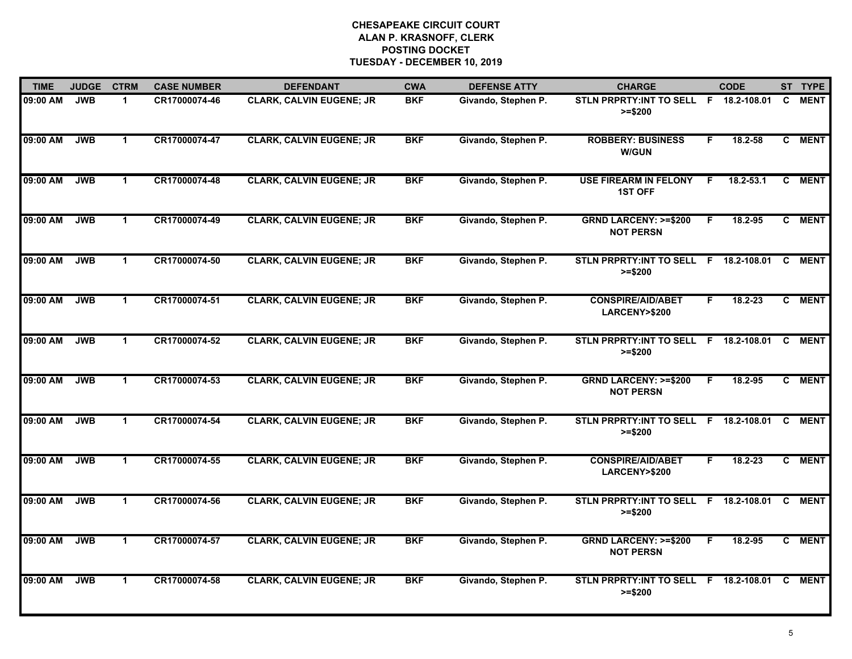| <b>TIME</b> | <b>JUDGE</b> | <b>CTRM</b>  | <b>CASE NUMBER</b> | <b>DEFENDANT</b>                | <b>CWA</b> | <b>DEFENSE ATTY</b> | <b>CHARGE</b>                                        |    | <b>CODE</b>   |          | ST TYPE     |
|-------------|--------------|--------------|--------------------|---------------------------------|------------|---------------------|------------------------------------------------------|----|---------------|----------|-------------|
| 09:00 AM    | <b>JWB</b>   | 1            | CR17000074-46      | <b>CLARK, CALVIN EUGENE; JR</b> | <b>BKF</b> | Givando, Stephen P. | STLN PRPRTY: INT TO SELL F 18.2-108.01<br>$>= $200$  |    |               | C.       | <b>MENT</b> |
| 09:00 AM    | <b>JWB</b>   | $\mathbf 1$  | CR17000074-47      | <b>CLARK, CALVIN EUGENE; JR</b> | <b>BKF</b> | Givando, Stephen P. | <b>ROBBERY: BUSINESS</b><br><b>W/GUN</b>             | F  | $18.2 - 58$   | C.       | <b>MENT</b> |
| 09:00 AM    | <b>JWB</b>   | $\mathbf 1$  | CR17000074-48      | <b>CLARK, CALVIN EUGENE; JR</b> | <b>BKF</b> | Givando, Stephen P. | <b>USE FIREARM IN FELONY</b><br><b>1ST OFF</b>       | E  | $18.2 - 53.1$ | C        | <b>MENT</b> |
| 09:00 AM    | <b>JWB</b>   | $\mathbf 1$  | CR17000074-49      | <b>CLARK, CALVIN EUGENE; JR</b> | <b>BKF</b> | Givando, Stephen P. | <b>GRND LARCENY: &gt;=\$200</b><br><b>NOT PERSN</b>  | F  | 18.2-95       |          | C MENT      |
| 09:00 AM    | <b>JWB</b>   | $\mathbf 1$  | CR17000074-50      | <b>CLARK, CALVIN EUGENE; JR</b> | <b>BKF</b> | Givando, Stephen P. | STLN PRPRTY: INT TO SELL F 18.2-108.01<br>$>= $200$  |    |               | <b>C</b> | <b>MENT</b> |
| 09:00 AM    | <b>JWB</b>   | $\mathbf{1}$ | CR17000074-51      | <b>CLARK, CALVIN EUGENE; JR</b> | <b>BKF</b> | Givando, Stephen P. | <b>CONSPIRE/AID/ABET</b><br>LARCENY>\$200            | F. | 18.2-23       |          | C MENT      |
| 09:00 AM    | <b>JWB</b>   | $\mathbf{1}$ | CR17000074-52      | <b>CLARK, CALVIN EUGENE; JR</b> | <b>BKF</b> | Givando, Stephen P. | STLN PRPRTY:INT TO SELL F 18.2-108.01 C<br>$>= $200$ |    |               |          | <b>MENT</b> |
| 09:00 AM    | <b>JWB</b>   | $\mathbf 1$  | CR17000074-53      | <b>CLARK, CALVIN EUGENE; JR</b> | <b>BKF</b> | Givando, Stephen P. | <b>GRND LARCENY: &gt;=\$200</b><br><b>NOT PERSN</b>  | F  | 18.2-95       |          | C MENT      |
| 09:00 AM    | <b>JWB</b>   | $\mathbf{1}$ | CR17000074-54      | <b>CLARK, CALVIN EUGENE; JR</b> | <b>BKF</b> | Givando, Stephen P. | STLN PRPRTY: INT TO SELL F<br>$>= $200$              |    | 18.2-108.01   | C        | <b>MENT</b> |
| 09:00 AM    | <b>JWB</b>   | $\mathbf{1}$ | CR17000074-55      | <b>CLARK, CALVIN EUGENE; JR</b> | <b>BKF</b> | Givando, Stephen P. | <b>CONSPIRE/AID/ABET</b><br>LARCENY>\$200            | F  | $18.2 - 23$   |          | C MENT      |
| 09:00 AM    | <b>JWB</b>   | $\mathbf 1$  | CR17000074-56      | <b>CLARK, CALVIN EUGENE; JR</b> | <b>BKF</b> | Givando, Stephen P. | STLN PRPRTY: INT TO SELL F 18.2-108.01<br>$>= $200$  |    |               | C        | <b>MENT</b> |
| 09:00 AM    | <b>JWB</b>   | $\mathbf{1}$ | CR17000074-57      | <b>CLARK, CALVIN EUGENE; JR</b> | <b>BKF</b> | Givando, Stephen P. | <b>GRND LARCENY: &gt;=\$200</b><br><b>NOT PERSN</b>  | F  | 18.2-95       | C        | <b>MENT</b> |
| 09:00 AM    | <b>JWB</b>   | $\mathbf{1}$ | CR17000074-58      | <b>CLARK, CALVIN EUGENE; JR</b> | <b>BKF</b> | Givando, Stephen P. | STLN PRPRTY: INT TO SELL F 18.2-108.01<br>$>= $200$  |    |               | C.       | <b>MENT</b> |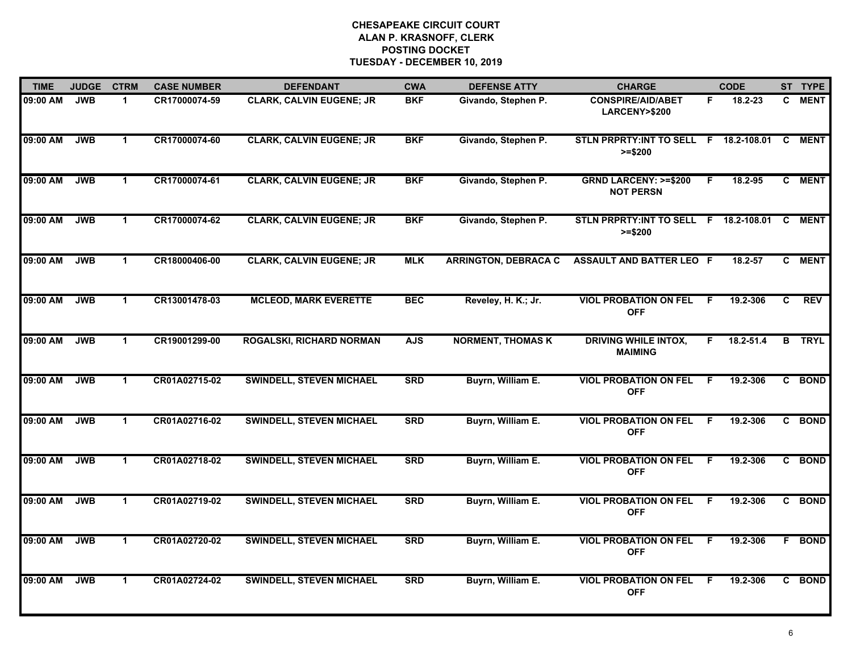| <b>TIME</b> | <b>JUDGE</b> | <b>CTRM</b>          | <b>CASE NUMBER</b> | <b>DEFENDANT</b>                | <b>CWA</b> | <b>DEFENSE ATTY</b>         | <b>CHARGE</b>                                       |    | <b>CODE</b>   |    | ST TYPE     |
|-------------|--------------|----------------------|--------------------|---------------------------------|------------|-----------------------------|-----------------------------------------------------|----|---------------|----|-------------|
| 09:00 AM    | <b>JWB</b>   | 1                    | CR17000074-59      | <b>CLARK, CALVIN EUGENE; JR</b> | <b>BKF</b> | Givando, Stephen P.         | <b>CONSPIRE/AID/ABET</b><br>LARCENY>\$200           | F. | 18.2-23       | C. | <b>MENT</b> |
| 09:00 AM    | <b>JWB</b>   | $\mathbf 1$          | CR17000074-60      | <b>CLARK, CALVIN EUGENE; JR</b> | <b>BKF</b> | Givando, Stephen P.         | STLN PRPRTY: INT TO SELL F<br>$>= $200$             |    | 18.2-108.01   | C  | <b>MENT</b> |
| 09:00 AM    | <b>JWB</b>   | $\mathbf 1$          | CR17000074-61      | <b>CLARK, CALVIN EUGENE; JR</b> | <b>BKF</b> | Givando, Stephen P.         | <b>GRND LARCENY: &gt;=\$200</b><br><b>NOT PERSN</b> | F. | 18.2-95       |    | C MENT      |
| 09:00 AM    | <b>JWB</b>   | $\mathbf 1$          | CR17000074-62      | <b>CLARK, CALVIN EUGENE; JR</b> | <b>BKF</b> | Givando, Stephen P.         | STLN PRPRTY: INT TO SELL F 18.2-108.01<br>$>= $200$ |    |               | C  | <b>MENT</b> |
| 09:00 AM    | <b>JWB</b>   | $\mathbf 1$          | CR18000406-00      | <b>CLARK, CALVIN EUGENE; JR</b> | <b>MLK</b> | <b>ARRINGTON, DEBRACA C</b> | ASSAULT AND BATTER LEO F                            |    | 18.2-57       | C. | <b>MENT</b> |
| 09:00 AM    | <b>JWB</b>   | $\mathbf 1$          | CR13001478-03      | <b>MCLEOD, MARK EVERETTE</b>    | <b>BEC</b> | Reveley, H. K.; Jr.         | <b>VIOL PROBATION ON FEL</b><br><b>OFF</b>          | -F | 19.2-306      | C. | <b>REV</b>  |
| 09:00 AM    | <b>JWB</b>   | $\mathbf 1$          | CR19001299-00      | <b>ROGALSKI, RICHARD NORMAN</b> | <b>AJS</b> | <b>NORMENT, THOMAS K</b>    | <b>DRIVING WHILE INTOX,</b><br><b>MAIMING</b>       | F  | $18.2 - 51.4$ | B  | <b>TRYL</b> |
| 09:00 AM    | <b>JWB</b>   | $\mathbf{1}$         | CR01A02715-02      | <b>SWINDELL, STEVEN MICHAEL</b> | <b>SRD</b> | Buyrn, William E.           | <b>VIOL PROBATION ON FEL</b><br><b>OFF</b>          | F  | 19.2-306      |    | C BOND      |
| 09:00 AM    | <b>JWB</b>   | $\mathbf 1$          | CR01A02716-02      | <b>SWINDELL, STEVEN MICHAEL</b> | <b>SRD</b> | Buyrn, William E.           | <b>VIOL PROBATION ON FEL</b><br><b>OFF</b>          | E  | 19.2-306      |    | C BOND      |
| 09:00 AM    | <b>JWB</b>   | $\mathbf 1$          | CR01A02718-02      | <b>SWINDELL, STEVEN MICHAEL</b> | <b>SRD</b> | Buyrn, William E.           | <b>VIOL PROBATION ON FEL</b><br><b>OFF</b>          | F. | 19.2-306      |    | C BOND      |
| 09:00 AM    | <b>JWB</b>   | $\mathbf 1$          | CR01A02719-02      | <b>SWINDELL, STEVEN MICHAEL</b> | <b>SRD</b> | Buyrn, William E.           | <b>VIOL PROBATION ON FEL</b><br><b>OFF</b>          | -F | 19.2-306      |    | C BOND      |
| 09:00 AM    | <b>JWB</b>   | $\blacktriangleleft$ | CR01A02720-02      | <b>SWINDELL, STEVEN MICHAEL</b> | <b>SRD</b> | Buyrn, William E.           | <b>VIOL PROBATION ON FEL</b><br><b>OFF</b>          | F  | 19.2-306      | F. | <b>BOND</b> |
| 09:00 AM    | <b>JWB</b>   | $\mathbf 1$          | CR01A02724-02      | <b>SWINDELL, STEVEN MICHAEL</b> | <b>SRD</b> | Buyrn, William E.           | <b>VIOL PROBATION ON FEL</b><br><b>OFF</b>          | F  | 19.2-306      |    | C BOND      |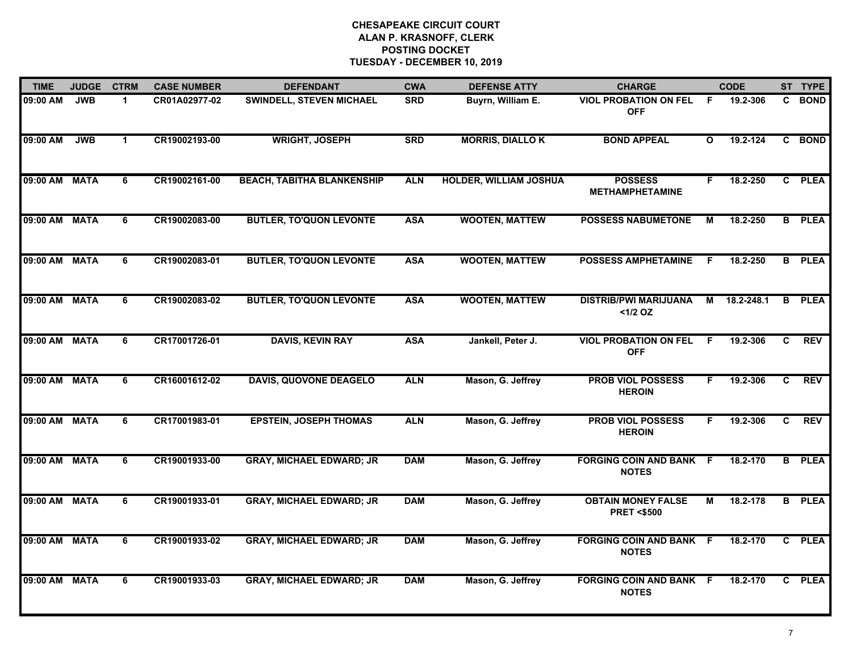| <b>TIME</b>   | <b>JUDGE</b> | <b>CTRM</b>    | <b>CASE NUMBER</b> | <b>DEFENDANT</b>                  | <b>CWA</b> | <b>DEFENSE ATTY</b>           | <b>CHARGE</b>                                      |              | <b>CODE</b> |                | ST TYPE       |
|---------------|--------------|----------------|--------------------|-----------------------------------|------------|-------------------------------|----------------------------------------------------|--------------|-------------|----------------|---------------|
| 09:00 AM      | <b>JWB</b>   | $\mathbf 1$    | CR01A02977-02      | SWINDELL, STEVEN MICHAEL          | <b>SRD</b> | Buyrn, William E.             | <b>VIOL PROBATION ON FEL</b><br><b>OFF</b>         | -F           | 19.2-306    |                | C BOND        |
| 09:00 AM      | <b>JWB</b>   | $\mathbf{1}$   | CR19002193-00      | <b>WRIGHT, JOSEPH</b>             | <b>SRD</b> | <b>MORRIS, DIALLOK</b>        | <b>BOND APPEAL</b>                                 | $\mathbf{o}$ | 19.2-124    |                | C BOND        |
| 09:00 AM MATA |              | 6              | CR19002161-00      | <b>BEACH, TABITHA BLANKENSHIP</b> | <b>ALN</b> | <b>HOLDER, WILLIAM JOSHUA</b> | <b>POSSESS</b><br><b>METHAMPHETAMINE</b>           | F.           | 18.2-250    |                | C PLEA        |
| 09:00 AM MATA |              | 6              | CR19002083-00      | <b>BUTLER, TO'QUON LEVONTE</b>    | <b>ASA</b> | <b>WOOTEN, MATTEW</b>         | <b>POSSESS NABUMETONE</b>                          | М            | 18.2-250    |                | <b>B</b> PLEA |
| 09:00 AM MATA |              | 6              | CR19002083-01      | <b>BUTLER, TO'QUON LEVONTE</b>    | <b>ASA</b> | <b>WOOTEN, MATTEW</b>         | <b>POSSESS AMPHETAMINE</b>                         | F.           | 18.2-250    |                | <b>B</b> PLEA |
| 09:00 AM MATA |              | 6              | CR19002083-02      | <b>BUTLER, TO'QUON LEVONTE</b>    | <b>ASA</b> | <b>WOOTEN, MATTEW</b>         | <b>DISTRIB/PWI MARIJUANA</b><br><1/2 OZ            | M            | 18.2-248.1  | B.             | <b>PLEA</b>   |
| 09:00 AM MATA |              | $\overline{6}$ | CR17001726-01      | <b>DAVIS, KEVIN RAY</b>           | <b>ASA</b> | Jankell, Peter J.             | <b>VIOL PROBATION ON FEL</b><br><b>OFF</b>         | F            | 19.2-306    | $\overline{c}$ | <b>REV</b>    |
| 09:00 AM MATA |              | 6              | CR16001612-02      | <b>DAVIS, QUOVONE DEAGELO</b>     | <b>ALN</b> | Mason, G. Jeffrey             | <b>PROB VIOL POSSESS</b><br><b>HEROIN</b>          | F.           | 19.2-306    | C.             | <b>REV</b>    |
| 09:00 AM MATA |              | 6              | CR17001983-01      | <b>EPSTEIN, JOSEPH THOMAS</b>     | <b>ALN</b> | Mason, G. Jeffrey             | <b>PROB VIOL POSSESS</b><br><b>HEROIN</b>          | F            | 19.2-306    | C.             | <b>REV</b>    |
| 09:00 AM MATA |              | 6              | CR19001933-00      | <b>GRAY, MICHAEL EDWARD; JR</b>   | <b>DAM</b> | Mason, G. Jeffrey             | <b>FORGING COIN AND BANK F</b><br><b>NOTES</b>     |              | 18.2-170    |                | <b>B</b> PLEA |
| 09:00 AM MATA |              | 6              | CR19001933-01      | <b>GRAY, MICHAEL EDWARD; JR</b>   | <b>DAM</b> | Mason, G. Jeffrey             | <b>OBTAIN MONEY FALSE</b><br><b>PRET &lt;\$500</b> | М            | 18.2-178    |                | <b>B</b> PLEA |
| 09:00 AM MATA |              | 6              | CR19001933-02      | <b>GRAY, MICHAEL EDWARD; JR</b>   | <b>DAM</b> | Mason, G. Jeffrey             | <b>FORGING COIN AND BANK F</b><br><b>NOTES</b>     |              | 18.2-170    |                | C PLEA        |
| 09:00 AM MATA |              | 6              | CR19001933-03      | <b>GRAY, MICHAEL EDWARD; JR</b>   | <b>DAM</b> | Mason, G. Jeffrey             | <b>FORGING COIN AND BANK F</b><br><b>NOTES</b>     |              | 18.2-170    |                | C PLEA        |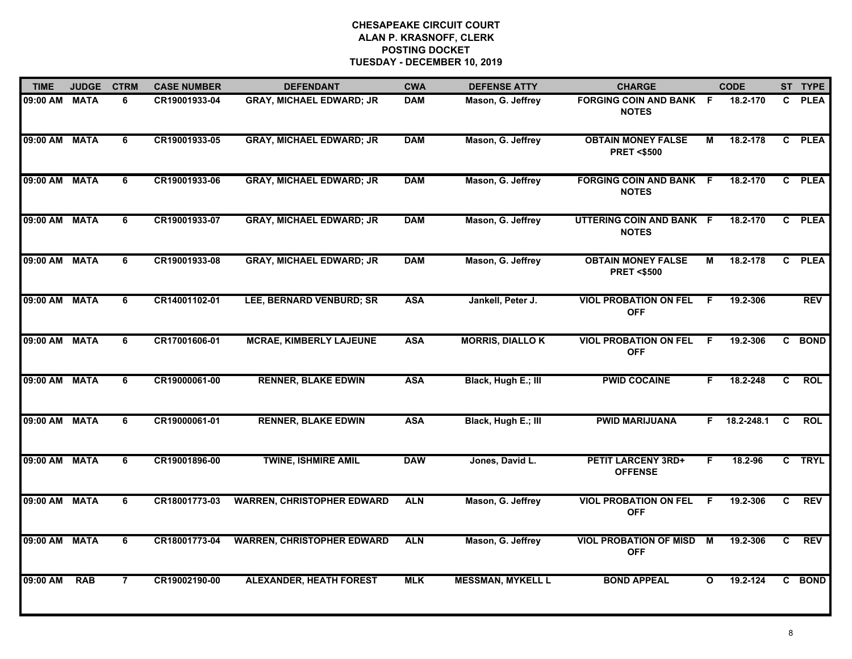| <b>TIME</b>   | <b>JUDGE</b> | <b>CTRM</b>    | <b>CASE NUMBER</b> | <b>DEFENDANT</b>                  | <b>CWA</b> | <b>DEFENSE ATTY</b>      | <b>CHARGE</b>                                      |              | <b>CODE</b> |                | ST TYPE     |
|---------------|--------------|----------------|--------------------|-----------------------------------|------------|--------------------------|----------------------------------------------------|--------------|-------------|----------------|-------------|
| 09:00 AM MATA |              | 6              | CR19001933-04      | <b>GRAY, MICHAEL EDWARD; JR</b>   | <b>DAM</b> | Mason, G. Jeffrey        | <b>FORGING COIN AND BANK F</b><br><b>NOTES</b>     |              | 18.2-170    | C.             | <b>PLEA</b> |
| 09:00 AM MATA |              | 6              | CR19001933-05      | <b>GRAY, MICHAEL EDWARD; JR</b>   | <b>DAM</b> | Mason, G. Jeffrey        | <b>OBTAIN MONEY FALSE</b><br><b>PRET &lt;\$500</b> | М            | 18.2-178    |                | C PLEA      |
| 09:00 AM MATA |              | 6              | CR19001933-06      | <b>GRAY, MICHAEL EDWARD; JR</b>   | <b>DAM</b> | Mason, G. Jeffrey        | <b>FORGING COIN AND BANK F</b><br><b>NOTES</b>     |              | 18.2-170    |                | C PLEA      |
| 09:00 AM MATA |              | 6              | CR19001933-07      | <b>GRAY, MICHAEL EDWARD; JR</b>   | <b>DAM</b> | Mason, G. Jeffrey        | UTTERING COIN AND BANK F<br><b>NOTES</b>           |              | 18.2-170    |                | C PLEA      |
| 09:00 AM MATA |              | 6              | CR19001933-08      | <b>GRAY, MICHAEL EDWARD; JR</b>   | <b>DAM</b> | Mason, G. Jeffrey        | <b>OBTAIN MONEY FALSE</b><br><b>PRET &lt;\$500</b> | м            | 18.2-178    | C.             | <b>PLEA</b> |
| 09:00 AM MATA |              | 6              | CR14001102-01      | LEE, BERNARD VENBURD; SR          | <b>ASA</b> | Jankell, Peter J.        | <b>VIOL PROBATION ON FEL</b><br><b>OFF</b>         | F.           | 19.2-306    |                | <b>REV</b>  |
| 09:00 AM MATA |              | 6              | CR17001606-01      | <b>MCRAE, KIMBERLY LAJEUNE</b>    | <b>ASA</b> | <b>MORRIS, DIALLO K</b>  | <b>VIOL PROBATION ON FEL</b><br><b>OFF</b>         | -F           | 19.2-306    |                | C BOND      |
| 09:00 AM      | <b>MATA</b>  | $\overline{6}$ | CR19000061-00      | <b>RENNER, BLAKE EDWIN</b>        | <b>ASA</b> | Black, Hugh E.; III      | <b>PWID COCAINE</b>                                | F.           | 18.2-248    | $\overline{c}$ | <b>ROL</b>  |
| 09:00 AM MATA |              | 6              | CR19000061-01      | <b>RENNER, BLAKE EDWIN</b>        | <b>ASA</b> | Black, Hugh E.; III      | <b>PWID MARIJUANA</b>                              | F.           | 18.2-248.1  | C              | <b>ROL</b>  |
| 09:00 AM MATA |              | 6              | CR19001896-00      | <b>TWINE, ISHMIRE AMIL</b>        | <b>DAW</b> | Jones, David L.          | <b>PETIT LARCENY 3RD+</b><br><b>OFFENSE</b>        | F.           | 18.2-96     |                | C TRYL      |
| 09:00 AM MATA |              | 6              | CR18001773-03      | <b>WARREN, CHRISTOPHER EDWARD</b> | <b>ALN</b> | Mason, G. Jeffrey        | <b>VIOL PROBATION ON FEL</b><br><b>OFF</b>         | F            | 19.2-306    | C              | <b>REV</b>  |
| 09:00 AM MATA |              | 6              | CR18001773-04      | <b>WARREN, CHRISTOPHER EDWARD</b> | <b>ALN</b> | Mason, G. Jeffrey        | <b>VIOL PROBATION OF MISD M</b><br><b>OFF</b>      |              | 19.2-306    | C.             | <b>REV</b>  |
| 09:00 AM      | <b>RAB</b>   | $\overline{7}$ | CR19002190-00      | <b>ALEXANDER, HEATH FOREST</b>    | <b>MLK</b> | <b>MESSMAN, MYKELL L</b> | <b>BOND APPEAL</b>                                 | $\mathbf{o}$ | 19.2-124    |                | C BOND      |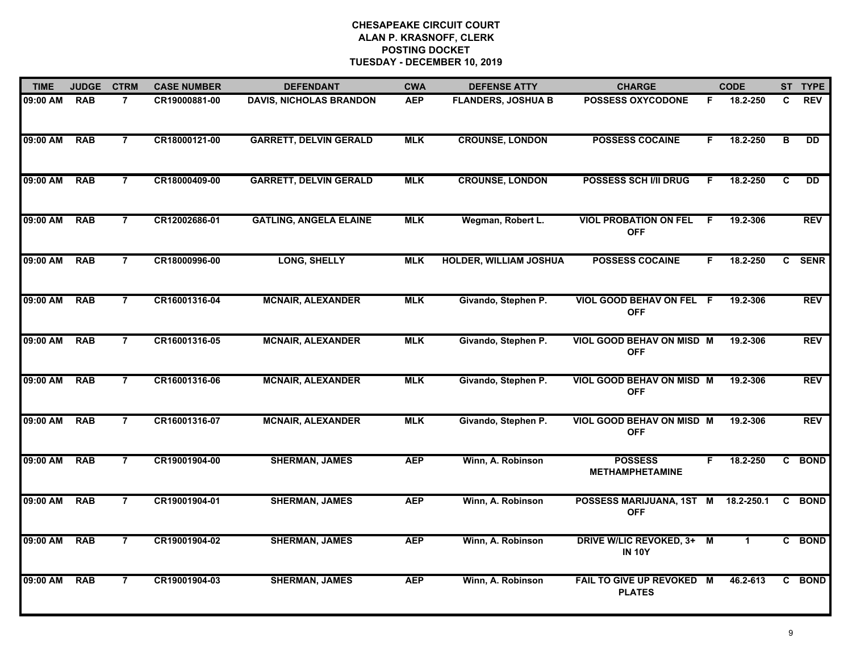| <b>TIME</b> | <b>JUDGE</b> | <b>CTRM</b>    | <b>CASE NUMBER</b> | <b>DEFENDANT</b>               | <b>CWA</b> | <b>DEFENSE ATTY</b>           | <b>CHARGE</b>                                  |    | <b>CODE</b>  |    | ST TYPE     |
|-------------|--------------|----------------|--------------------|--------------------------------|------------|-------------------------------|------------------------------------------------|----|--------------|----|-------------|
| 09:00 AM    | <b>RAB</b>   | $\overline{7}$ | CR19000881-00      | <b>DAVIS, NICHOLAS BRANDON</b> | <b>AEP</b> | <b>FLANDERS, JOSHUA B</b>     | <b>POSSESS OXYCODONE</b>                       | F. | 18.2-250     | C  | <b>REV</b>  |
| 09:00 AM    | <b>RAB</b>   | $\overline{7}$ | CR18000121-00      | <b>GARRETT, DELVIN GERALD</b>  | <b>MLK</b> | <b>CROUNSE, LONDON</b>        | <b>POSSESS COCAINE</b>                         | F. | 18.2-250     | B  | DD.         |
| 09:00 AM    | <b>RAB</b>   | $\overline{7}$ | CR18000409-00      | <b>GARRETT, DELVIN GERALD</b>  | <b>MLK</b> | <b>CROUNSE, LONDON</b>        | <b>POSSESS SCH I/II DRUG</b>                   | F  | 18.2-250     | C  | DD          |
| 09:00 AM    | <b>RAB</b>   | $\overline{7}$ | CR12002686-01      | <b>GATLING, ANGELA ELAINE</b>  | <b>MLK</b> | Wegman, Robert L.             | <b>VIOL PROBATION ON FEL</b><br><b>OFF</b>     | F  | 19.2-306     |    | <b>REV</b>  |
| 09:00 AM    | <b>RAB</b>   | $\overline{7}$ | CR18000996-00      | LONG, SHELLY                   | <b>MLK</b> | <b>HOLDER, WILLIAM JOSHUA</b> | <b>POSSESS COCAINE</b>                         | F. | 18.2-250     | C. | <b>SENR</b> |
| 09:00 AM    | <b>RAB</b>   | $\overline{7}$ | CR16001316-04      | <b>MCNAIR, ALEXANDER</b>       | <b>MLK</b> | Givando, Stephen P.           | VIOL GOOD BEHAV ON FEL F<br><b>OFF</b>         |    | 19.2-306     |    | <b>REV</b>  |
| 09:00 AM    | <b>RAB</b>   | $\overline{7}$ | CR16001316-05      | <b>MCNAIR, ALEXANDER</b>       | <b>MLK</b> | Givando, Stephen P.           | <b>VIOL GOOD BEHAV ON MISD M</b><br><b>OFF</b> |    | 19.2-306     |    | <b>REV</b>  |
| 09:00 AM    | <b>RAB</b>   | $\overline{7}$ | CR16001316-06      | <b>MCNAIR, ALEXANDER</b>       | <b>MLK</b> | Givando, Stephen P.           | <b>VIOL GOOD BEHAV ON MISD M</b><br><b>OFF</b> |    | 19.2-306     |    | <b>REV</b>  |
| 09:00 AM    | <b>RAB</b>   | 7              | CR16001316-07      | <b>MCNAIR, ALEXANDER</b>       | <b>MLK</b> | Givando, Stephen P.           | VIOL GOOD BEHAV ON MISD M<br><b>OFF</b>        |    | 19.2-306     |    | <b>REV</b>  |
| 09:00 AM    | <b>RAB</b>   | $\overline{7}$ | CR19001904-00      | <b>SHERMAN, JAMES</b>          | <b>AEP</b> | Winn, A. Robinson             | <b>POSSESS</b><br><b>METHAMPHETAMINE</b>       | F  | 18.2-250     |    | C BOND      |
| 09:00 AM    | <b>RAB</b>   | $\overline{7}$ | CR19001904-01      | <b>SHERMAN, JAMES</b>          | <b>AEP</b> | Winn, A. Robinson             | POSSESS MARIJUANA, 1ST M<br><b>OFF</b>         |    | 18.2-250.1   | C  | <b>BOND</b> |
| 09:00 AM    | <b>RAB</b>   | $\overline{7}$ | CR19001904-02      | <b>SHERMAN, JAMES</b>          | <b>AEP</b> | Winn, A. Robinson             | DRIVE W/LIC REVOKED, 3+ M<br><b>IN 10Y</b>     |    | $\mathbf{1}$ |    | C BOND      |
| 09:00 AM    | <b>RAB</b>   | $\overline{7}$ | CR19001904-03      | <b>SHERMAN, JAMES</b>          | <b>AEP</b> | Winn, A. Robinson             | FAIL TO GIVE UP REVOKED M<br><b>PLATES</b>     |    | 46.2-613     | C  | <b>BOND</b> |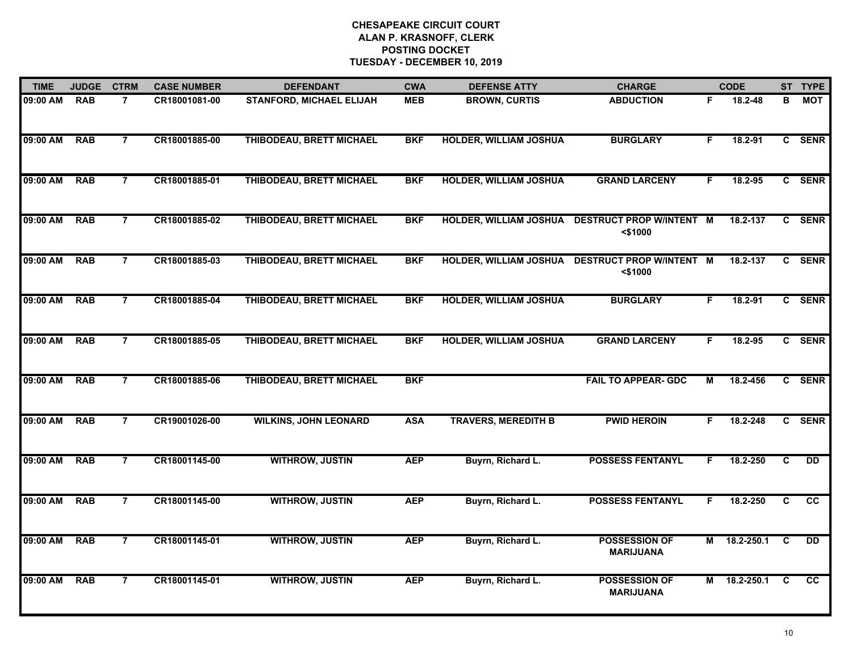| <b>TIME</b> | <b>JUDGE</b> | <b>CTRM</b>    | <b>CASE NUMBER</b> | <b>DEFENDANT</b>                | <b>CWA</b> | <b>DEFENSE ATTY</b>           | <b>CHARGE</b>                                 |    | <b>CODE</b>  |                         | ST TYPE         |
|-------------|--------------|----------------|--------------------|---------------------------------|------------|-------------------------------|-----------------------------------------------|----|--------------|-------------------------|-----------------|
| 09:00 AM    | <b>RAB</b>   | 7              | CR18001081-00      | <b>STANFORD, MICHAEL ELIJAH</b> | <b>MEB</b> | <b>BROWN, CURTIS</b>          | <b>ABDUCTION</b>                              | F. | 18.2-48      | в                       | <b>MOT</b>      |
| 09:00 AM    | <b>RAB</b>   | $\overline{7}$ | CR18001885-00      | THIBODEAU, BRETT MICHAEL        | <b>BKF</b> | <b>HOLDER, WILLIAM JOSHUA</b> | <b>BURGLARY</b>                               | F  | 18.2-91      |                         | C SENR          |
| 09:00 AM    | <b>RAB</b>   | $\overline{7}$ | CR18001885-01      | THIBODEAU, BRETT MICHAEL        | <b>BKF</b> | <b>HOLDER, WILLIAM JOSHUA</b> | <b>GRAND LARCENY</b>                          | F  | 18.2-95      |                         | C SENR          |
| 09:00 AM    | <b>RAB</b>   | $\overline{7}$ | CR18001885-02      | THIBODEAU, BRETT MICHAEL        | <b>BKF</b> | <b>HOLDER, WILLIAM JOSHUA</b> | <b>DESTRUCT PROP W/INTENT M</b><br>$<$ \$1000 |    | 18.2-137     |                         | C SENR          |
| 09:00 AM    | <b>RAB</b>   | $\overline{7}$ | CR18001885-03      | THIBODEAU, BRETT MICHAEL        | <b>BKF</b> | <b>HOLDER, WILLIAM JOSHUA</b> | <b>DESTRUCT PROP W/INTENT M</b><br>$<$ \$1000 |    | 18.2-137     |                         | C SENR          |
| 09:00 AM    | <b>RAB</b>   | $\overline{7}$ | CR18001885-04      | THIBODEAU, BRETT MICHAEL        | <b>BKF</b> | <b>HOLDER, WILLIAM JOSHUA</b> | <b>BURGLARY</b>                               | F. | 18.2-91      |                         | C SENR          |
| 09:00 AM    | <b>RAB</b>   | $\overline{7}$ | CR18001885-05      | THIBODEAU, BRETT MICHAEL        | <b>BKF</b> | <b>HOLDER, WILLIAM JOSHUA</b> | <b>GRAND LARCENY</b>                          | F. | 18.2-95      |                         | C SENR          |
| 09:00 AM    | <b>RAB</b>   | $\overline{7}$ | CR18001885-06      | THIBODEAU, BRETT MICHAEL        | <b>BKF</b> |                               | <b>FAIL TO APPEAR- GDC</b>                    | М  | 18.2-456     |                         | C SENR          |
| 09:00 AM    | <b>RAB</b>   | 7              | CR19001026-00      | <b>WILKINS, JOHN LEONARD</b>    | <b>ASA</b> | <b>TRAVERS, MEREDITH B</b>    | <b>PWID HEROIN</b>                            | F  | 18.2-248     |                         | C SENR          |
| 09:00 AM    | <b>RAB</b>   | $\overline{7}$ | CR18001145-00      | <b>WITHROW, JUSTIN</b>          | <b>AEP</b> | Buyrn, Richard L.             | <b>POSSESS FENTANYL</b>                       | F. | 18.2-250     | C                       | <b>DD</b>       |
| 09:00 AM    | <b>RAB</b>   | $\overline{7}$ | CR18001145-00      | <b>WITHROW, JUSTIN</b>          | <b>AEP</b> | Buyrn, Richard L.             | <b>POSSESS FENTANYL</b>                       |    | 18.2-250     | C                       | $\overline{cc}$ |
| 09:00 AM    | <b>RAB</b>   | $\overline{7}$ | CR18001145-01      | <b>WITHROW, JUSTIN</b>          | <b>AEP</b> | Buyrn, Richard L.             | <b>POSSESSION OF</b><br><b>MARIJUANA</b>      |    | M 18.2-250.1 | $\overline{\mathbf{c}}$ | <b>DD</b>       |
| 09:00 AM    | <b>RAB</b>   | $\overline{7}$ | CR18001145-01      | <b>WITHROW, JUSTIN</b>          | <b>AEP</b> | Buyrn, Richard L.             | <b>POSSESSION OF</b><br><b>MARIJUANA</b>      |    | M 18.2-250.1 | C.                      | <b>CC</b>       |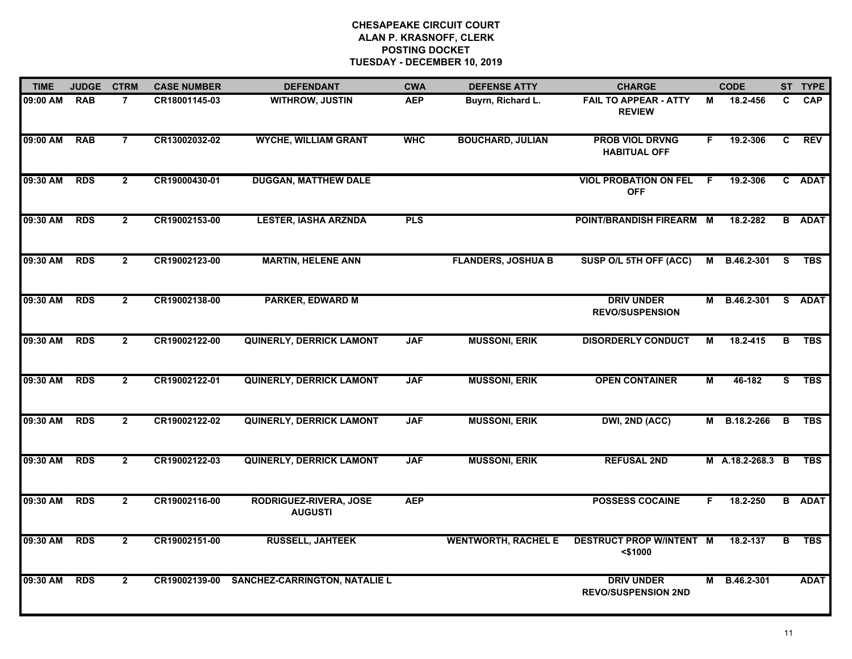| <b>TIME</b> | <b>JUDGE</b> | <b>CTRM</b>    | <b>CASE NUMBER</b> | <b>DEFENDANT</b>                         | <b>CWA</b> | <b>DEFENSE ATTY</b>        | <b>CHARGE</b>                                   |    | <b>CODE</b>         |                         | ST TYPE       |
|-------------|--------------|----------------|--------------------|------------------------------------------|------------|----------------------------|-------------------------------------------------|----|---------------------|-------------------------|---------------|
| 09:00 AM    | <b>RAB</b>   | 7              | CR18001145-03      | <b>WITHROW, JUSTIN</b>                   | <b>AEP</b> | Buyrn, Richard L.          | <b>FAIL TO APPEAR - ATTY</b><br><b>REVIEW</b>   | М  | 18.2-456            | C.                      | <b>CAP</b>    |
| 09:00 AM    | <b>RAB</b>   | $\overline{7}$ | CR13002032-02      | <b>WYCHE, WILLIAM GRANT</b>              | <b>WHC</b> | <b>BOUCHARD, JULIAN</b>    | <b>PROB VIOL DRVNG</b><br><b>HABITUAL OFF</b>   | F. | 19.2-306            | C                       | REV           |
| 09:30 AM    | <b>RDS</b>   | $\overline{2}$ | CR19000430-01      | <b>DUGGAN, MATTHEW DALE</b>              |            |                            | <b>VIOL PROBATION ON FEL</b><br><b>OFF</b>      | F  | 19.2-306            |                         | C ADAT        |
| 09:30 AM    | <b>RDS</b>   | $\overline{2}$ | CR19002153-00      | <b>LESTER, IASHA ARZNDA</b>              | <b>PLS</b> |                            | POINT/BRANDISH FIREARM M                        |    | 18.2-282            |                         | <b>B</b> ADAT |
| 09:30 AM    | <b>RDS</b>   | $\overline{2}$ | CR19002123-00      | <b>MARTIN, HELENE ANN</b>                |            | <b>FLANDERS, JOSHUA B</b>  | SUSP O/L 5TH OFF (ACC)                          | М  | B.46.2-301          | <b>S</b>                | <b>TBS</b>    |
| 09:30 AM    | <b>RDS</b>   | $\mathbf{2}$   | CR19002138-00      | <b>PARKER, EDWARD M</b>                  |            |                            | <b>DRIV UNDER</b><br><b>REVO/SUSPENSION</b>     |    | M B.46.2-301 S ADAT |                         |               |
| 09:30 AM    | <b>RDS</b>   | $\overline{2}$ | CR19002122-00      | <b>QUINERLY, DERRICK LAMONT</b>          | <b>JAF</b> | <b>MUSSONI, ERIK</b>       | <b>DISORDERLY CONDUCT</b>                       | М  | 18.2-415            | $\overline{\mathbf{B}}$ | <b>TBS</b>    |
| 09:30 AM    | <b>RDS</b>   | $\mathbf{2}$   | CR19002122-01      | <b>QUINERLY, DERRICK LAMONT</b>          | <b>JAF</b> | <b>MUSSONI, ERIK</b>       | <b>OPEN CONTAINER</b>                           | М  | 46-182              | S.                      | <b>TBS</b>    |
| 09:30 AM    | <b>RDS</b>   | $\mathbf{2}$   | CR19002122-02      | <b>QUINERLY, DERRICK LAMONT</b>          | <b>JAF</b> | <b>MUSSONI, ERIK</b>       | DWI, 2ND (ACC)                                  | М  | B.18.2-266          | B                       | <b>TBS</b>    |
| 09:30 AM    | <b>RDS</b>   | $\overline{2}$ | CR19002122-03      | <b>QUINERLY, DERRICK LAMONT</b>          | <b>JAF</b> | <b>MUSSONI, ERIK</b>       | <b>REFUSAL 2ND</b>                              |    | M A.18.2-268.3 B    |                         | <b>TBS</b>    |
| 09:30 AM    | <b>RDS</b>   | $\mathbf{2}$   | CR19002116-00      | RODRIGUEZ-RIVERA, JOSE<br><b>AUGUSTI</b> | <b>AEP</b> |                            | <b>POSSESS COCAINE</b>                          | F. | 18.2-250            | B                       | <b>ADAT</b>   |
| 09:30 AM    | <b>RDS</b>   | $\overline{2}$ | CR19002151-00      | <b>RUSSELL, JAHTEEK</b>                  |            | <b>WENTWORTH, RACHEL E</b> | <b>DESTRUCT PROP W/INTENT M</b><br>$<$ \$1000   |    | 18.2-137            | $\overline{\mathbf{B}}$ | <b>TBS</b>    |
| 09:30 AM    | <b>RDS</b>   | $\mathbf{2}$   | CR19002139-00      | <b>SANCHEZ-CARRINGTON, NATALIE L</b>     |            |                            | <b>DRIV UNDER</b><br><b>REVO/SUSPENSION 2ND</b> | М  | B.46.2-301          |                         | <b>ADAT</b>   |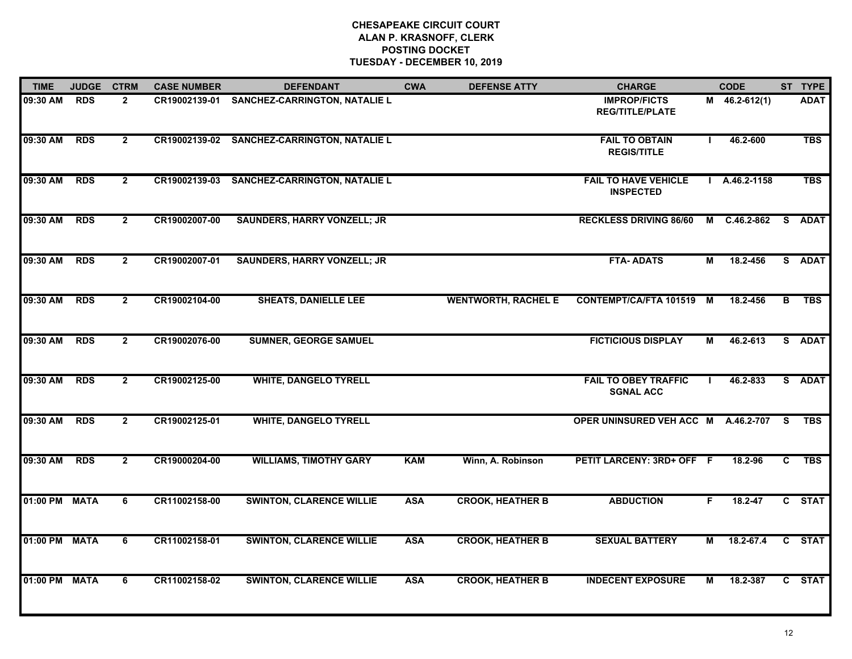| <b>TIME</b>   | <b>JUDGE</b> | <b>CTRM</b>    | <b>CASE NUMBER</b> | <b>DEFENDANT</b>                            | <b>CWA</b> | <b>DEFENSE ATTY</b>        | <b>CHARGE</b>                                   |                | <b>CODE</b>     |              | ST TYPE     |
|---------------|--------------|----------------|--------------------|---------------------------------------------|------------|----------------------------|-------------------------------------------------|----------------|-----------------|--------------|-------------|
| 09:30 AM      | <b>RDS</b>   | $\overline{2}$ |                    | CR19002139-01 SANCHEZ-CARRINGTON, NATALIE L |            |                            | <b>IMPROP/FICTS</b><br><b>REG/TITLE/PLATE</b>   |                | $M$ 46.2-612(1) |              | <b>ADAT</b> |
| 09:30 AM      | <b>RDS</b>   | $\overline{2}$ |                    | CR19002139-02 SANCHEZ-CARRINGTON, NATALIE L |            |                            | <b>FAIL TO OBTAIN</b><br><b>REGIS/TITLE</b>     |                | 46.2-600        |              | <b>TBS</b>  |
| 09:30 AM      | <b>RDS</b>   | $\overline{2}$ | CR19002139-03      | <b>SANCHEZ-CARRINGTON, NATALIE L</b>        |            |                            | <b>FAIL TO HAVE VEHICLE</b><br><b>INSPECTED</b> |                | $1$ A.46.2-1158 |              | <b>TBS</b>  |
| 09:30 AM      | <b>RDS</b>   | $\overline{2}$ | CR19002007-00      | <b>SAUNDERS, HARRY VONZELL; JR</b>          |            |                            | <b>RECKLESS DRIVING 86/60</b>                   |                | M C.46.2-862    |              | S ADAT      |
| 09:30 AM      | <b>RDS</b>   | $\overline{2}$ | CR19002007-01      | <b>SAUNDERS, HARRY VONZELL; JR</b>          |            |                            | <b>FTA-ADATS</b>                                | М              | 18.2-456        |              | S ADAT      |
| 09:30 AM      | <b>RDS</b>   | $\overline{2}$ | CR19002104-00      | <b>SHEATS, DANIELLE LEE</b>                 |            | <b>WENTWORTH, RACHEL E</b> | CONTEMPT/CA/FTA 101519 M                        |                | 18.2-456        | B            | <b>TBS</b>  |
| 09:30 AM      | <b>RDS</b>   | $\overline{2}$ | CR19002076-00      | <b>SUMNER, GEORGE SAMUEL</b>                |            |                            | <b>FICTICIOUS DISPLAY</b>                       | $\overline{M}$ | 46.2-613        |              | S ADAT      |
| 09:30 AM      | <b>RDS</b>   | $\overline{2}$ | CR19002125-00      | <b>WHITE, DANGELO TYRELL</b>                |            |                            | <b>FAIL TO OBEY TRAFFIC</b><br><b>SGNAL ACC</b> |                | 46.2-833        |              | S ADAT      |
| 09:30 AM      | <b>RDS</b>   | $\overline{2}$ | CR19002125-01      | <b>WHITE, DANGELO TYRELL</b>                |            |                            | OPER UNINSURED VEH ACC M A.46.2-707             |                |                 | <b>S</b>     | <b>TBS</b>  |
| 09:30 AM      | <b>RDS</b>   | $\overline{2}$ | CR19000204-00      | <b>WILLIAMS, TIMOTHY GARY</b>               | <b>KAM</b> | Winn, A. Robinson          | PETIT LARCENY: 3RD+ OFF F                       |                | 18.2-96         | $\mathbf{c}$ | <b>TBS</b>  |
| 01:00 PM      | <b>MATA</b>  | 6              | CR11002158-00      | <b>SWINTON, CLARENCE WILLIE</b>             | <b>ASA</b> | <b>CROOK, HEATHER B</b>    | <b>ABDUCTION</b>                                | F.             | 18.2-47         |              | C STAT      |
| 01:00 PM      | <b>MATA</b>  | $\overline{6}$ | CR11002158-01      | <b>SWINTON, CLARENCE WILLIE</b>             | <b>ASA</b> | <b>CROOK, HEATHER B</b>    | <b>SEXUAL BATTERY</b>                           | М              | $18.2 - 67.4$   |              | C STAT      |
| 01:00 PM MATA |              | 6              | CR11002158-02      | <b>SWINTON, CLARENCE WILLIE</b>             | <b>ASA</b> | <b>CROOK, HEATHER B</b>    | <b>INDECENT EXPOSURE</b>                        | М              | 18.2-387        |              | C STAT      |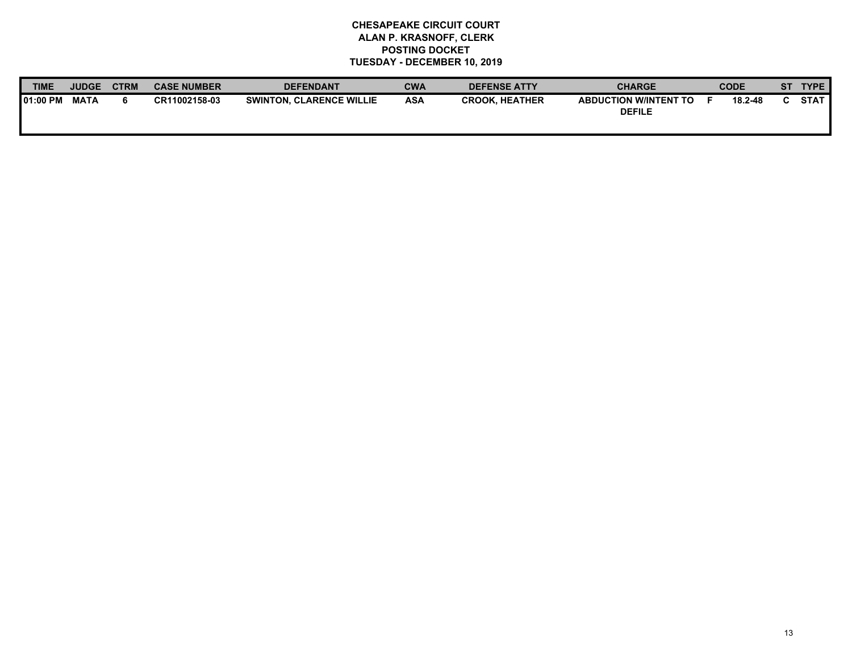| TIME             | <b>JUDGE</b> | <b>CTRM</b> | <b>CASE NUMBER</b> | <b>DEFENDANT</b>                | CWA        | <b>DEFENSE ATTY</b>   | <b>CHARGE</b>                                 | <b>CODE</b> |         | <b>ST</b> | <b>TYPE</b> |
|------------------|--------------|-------------|--------------------|---------------------------------|------------|-----------------------|-----------------------------------------------|-------------|---------|-----------|-------------|
| <b>101:00 PM</b> | <b>MATA</b>  |             | CR11002158-03      | <b>SWINTON, CLARENCE WILLIE</b> | <b>ASA</b> | <b>CROOK. HEATHER</b> | <b>ABDUCTION W/INTENT TO</b><br><b>DEFILE</b> |             | 18.2-48 |           | <b>STAT</b> |